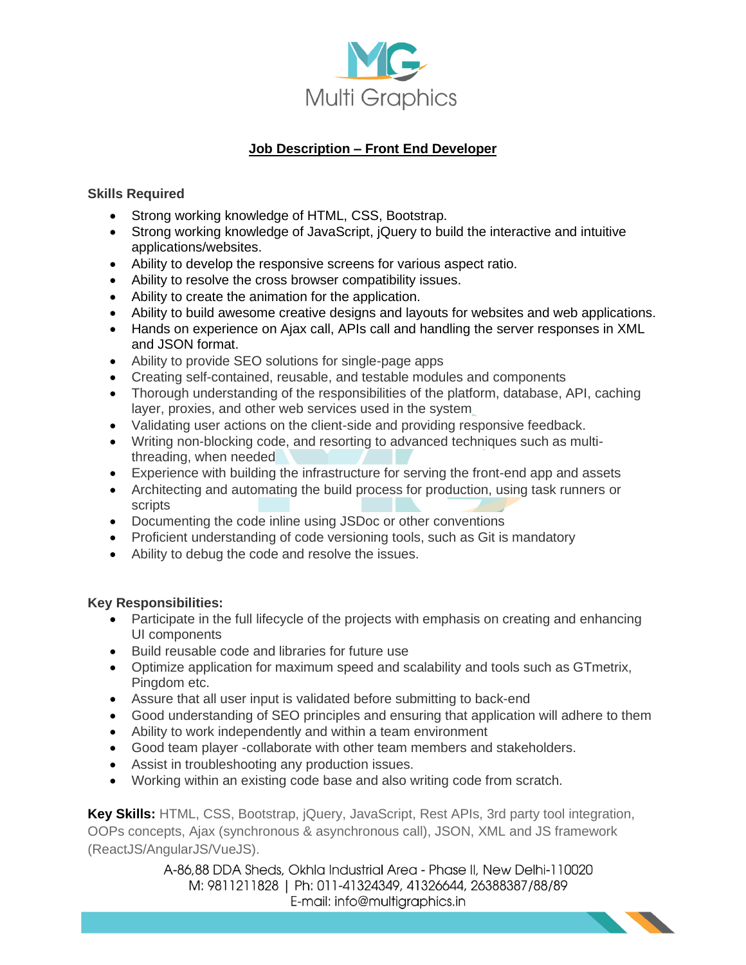

## **Job Description – Front End Developer**

## **Skills Required**

- Strong working knowledge of HTML, CSS, Bootstrap.
- Strong working knowledge of JavaScript, jQuery to build the interactive and intuitive applications/websites.
- Ability to develop the responsive screens for various aspect ratio.
- Ability to resolve the cross browser compatibility issues.
- Ability to create the animation for the application.
- Ability to build awesome creative designs and layouts for websites and web applications.
- Hands on experience on Ajax call, APIs call and handling the server responses in XML and JSON format.
- Ability to provide SEO solutions for single-page apps
- Creating self-contained, reusable, and testable modules and components
- Thorough understanding of the responsibilities of the platform, database, API, caching layer, proxies, and other web services used in the system
- Validating user actions on the client-side and providing responsive feedback.
- Writing non-blocking code, and resorting to advanced techniques such as multithreading, when needed
- Experience with building the infrastructure for serving the front-end app and assets
- Architecting and automating the build process for production, using task runners or scripts
- Documenting the code inline using JSDoc or other conventions
- Proficient understanding of code versioning tools, such as Git is mandatory
- Ability to debug the code and resolve the issues.

## **Key Responsibilities:**

- Participate in the full lifecycle of the projects with emphasis on creating and enhancing UI components
- Build reusable code and libraries for future use
- Optimize application for maximum speed and scalability and tools such as GTmetrix, Pingdom etc.
- Assure that all user input is validated before submitting to back-end
- Good understanding of SEO principles and ensuring that application will adhere to them
- Ability to work independently and within a team environment
- Good team player -collaborate with other team members and stakeholders.
- Assist in troubleshooting any production issues.
- Working within an existing code base and also writing code from scratch.

**Key Skills:** HTML, CSS, Bootstrap, jQuery, JavaScript, Rest APIs, 3rd party tool integration, OOPs concepts, Ajax (synchronous & asynchronous call), JSON, XML and JS framework (ReactJS/AngularJS/VueJS).

> A-86,88 DDA Sheds, Okhla Industrial Area - Phase II, New Delhi-110020 M: 9811211828 | Ph: 011-41324349, 41326644, 26388387/88/89 E-mail: info@multigraphics.in